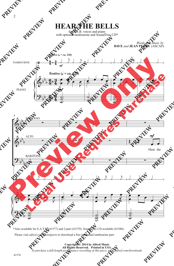## **HEAR THE BELLS**

for S.A.B. voices and piano with optional tambourine and SoundTrax CD\*

> *Words and Music by* **DAVE** *and* **JEAN PERRY** (ASCAP)



<sup>\*</sup>Also available for S.A.T.B. (41577) and 2-part (41579). SoundTrax CD available (41580).

Please visit *alfred.com/choralparts* to download a free individual tambourine part.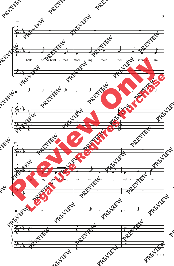

<sup>3</sup>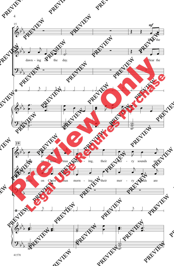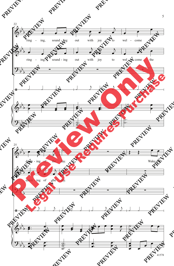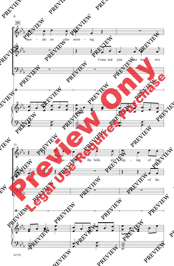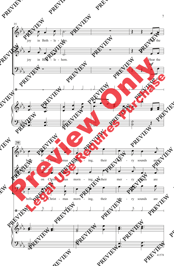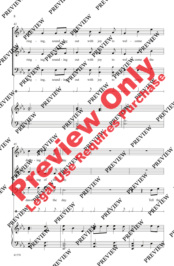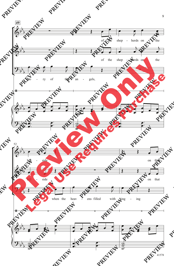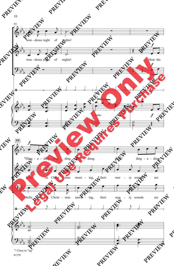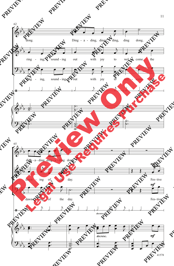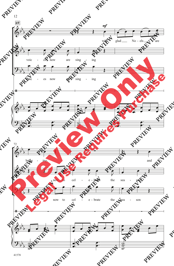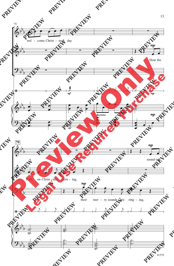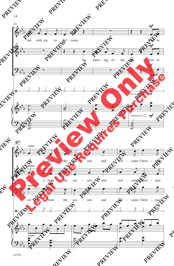